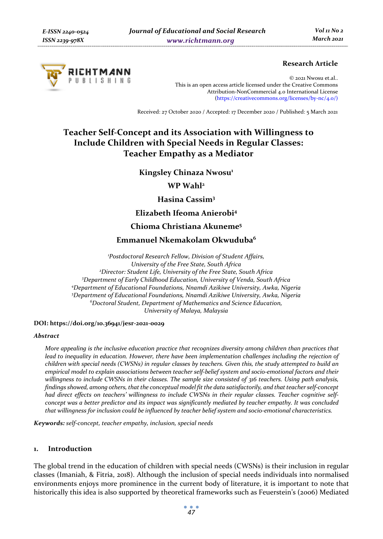

## **Research Article**

© 2021 Nwosu et.al.. This is an open access article licensed under the Creative Commons Attribution-NonCommercial 4.0 International License (https://creativecommons.org/licenses/by-nc/4.0/)

Received: 27 October 2020 / Accepted: 17 December 2020 / Published: 5 March 2021

# **Teacher Self-Concept and its Association with Willingness to Include Children with Special Needs in Regular Classes: Teacher Empathy as a Mediator**

**Kingsley Chinaza Nwosu<sup>1</sup>** 

**WP Wahl2**

**Hasina Cassim3**

**Elizabeth Ifeoma Anierobi4**

## **Chioma Christiana Akuneme5**

## **Emmanuel Nkemakolam Okwuduba6**

*1 Postdoctoral Research Fellow, Division of Student Affairs, University of the Free State, South Africa 2 Director: Student Life, University of the Free State, South Africa 3 Department of Early Childhood Education, University of Venda, South Africa 4 Department of Educational Foundations, Nnamdi Azikiwe University, Awka, Nigeria 5 Department of Educational Foundations, Nnamdi Azikiwe University, Awka, Nigeria 6 Doctoral Student, Department of Mathematics and Science Education, University of Malaya, Malaysia* 

#### **DOI: https://doi.org/10.36941/jesr-2021-0029**

#### *Abstract*

*More appealing is the inclusive education practice that recognizes diversity among children than practices that lead to inequality in education. However, there have been implementation challenges including the rejection of children with special needs (CWSNs) in regular classes by teachers. Given this, the study attempted to build an empirical model to explain associations between teacher self-belief system and socio-emotional factors and their willingness to include CWSNs in their classes. The sample size consisted of 316 teachers. Using path analysis, findings showed, among others, that the conceptual model fit the data satisfactorily, and that teacher self-concept had direct effects on teachers' willingness to include CWSNs in their regular classes. Teacher cognitive selfconcept was a better predictor and its impact was significantly mediated by teacher empathy. It was concluded that willingness for inclusion could be influenced by teacher belief system and socio-emotional characteristics.* 

*Keywords: self-concept, teacher empathy, inclusion, special needs*

## **1. Introduction**

The global trend in the education of children with special needs (CWSNs) is their inclusion in regular classes (Imaniah, & Fitria, 2018). Although the inclusion of special needs individuals into normalised environments enjoys more prominence in the current body of literature, it is important to note that historically this idea is also supported by theoretical frameworks such as Feuerstein's (2006) Mediated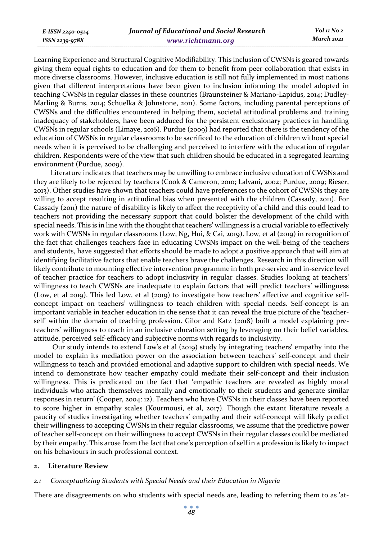Learning Experience and Structural Cognitive Modifiability. This inclusion of CWSNs is geared towards giving them equal rights to education and for them to benefit from peer collaboration that exists in more diverse classrooms. However, inclusive education is still not fully implemented in most nations given that different interpretations have been given to inclusion informing the model adopted in teaching CWSNs in regular classes in these countries (Braunsteiner & Mariano-Lapidus, 2014; Dudley-Marling & Burns, 2014; Schuelka & Johnstone, 2011). Some factors, including parental perceptions of CWSNs and the difficulties encountered in helping them, societal attitudinal problems and training inadequacy of stakeholders, have been adduced for the persistent exclusionary practices in handling CWSNs in regular schools (Limaye, 2016). Purdue (2009) had reported that there is the tendency of the education of CWSNs in regular classrooms to be sacrificed to the education of children without special needs when it is perceived to be challenging and perceived to interfere with the education of regular children. Respondents were of the view that such children should be educated in a segregated learning environment (Purdue, 2009).

Literature indicates that teachers may be unwilling to embrace inclusive education of CWSNs and they are likely to be rejected by teachers (Cook & Cameron, 2010; Lalvani, 2002; Purdue, 2009; Rieser, 2013). Other studies have shown that teachers could have preferences to the cohort of CWSNs they are willing to accept resulting in attitudinal bias when presented with the children (Cassady, 2011). For Cassady (2011) the nature of disability is likely to affect the receptivity of a child and this could lead to teachers not providing the necessary support that could bolster the development of the child with special needs. This is in line with the thought that teachers' willingness is a crucial variable to effectively work with CWSNs in regular classrooms (Low, Ng, Hui, & Cai, 2019). Low, et al (2019) in recognition of the fact that challenges teachers face in educating CWSNs impact on the well-being of the teachers and students, have suggested that efforts should be made to adopt a positive approach that will aim at identifying facilitative factors that enable teachers brave the challenges. Research in this direction will likely contribute to mounting effective intervention programme in both pre-service and in-service level of teacher practice for teachers to adopt inclusivity in regular classes. Studies looking at teachers' willingness to teach CWSNs are inadequate to explain factors that will predict teachers' willingness (Low, et al 2019). This led Low, et al (2019) to investigate how teachers' affective and cognitive selfconcept impact on teachers' willingness to teach children with special needs. Self-concept is an important variable in teacher education in the sense that it can reveal the true picture of the 'teacherself' within the domain of teaching profession. Gilor and Katz (2018) built a model explaining preteachers' willingness to teach in an inclusive education setting by leveraging on their belief variables, attitude, perceived self-efficacy and subjective norms with regards to inclusivity.

 Our study intends to extend Low's et al (2019) study by integrating teachers' empathy into the model to explain its mediation power on the association between teachers' self-concept and their willingness to teach and provided emotional and adaptive support to children with special needs. We intend to demonstrate how teacher empathy could mediate their self-concept and their inclusion willingness. This is predicated on the fact that 'empathic teachers are revealed as highly moral individuals who attach themselves mentally and emotionally to their students and generate similar responses in return' (Cooper, 2004: 12). Teachers who have CWSNs in their classes have been reported to score higher in empathy scales (Kourmousi, et al, 2017). Though the extant literature reveals a paucity of studies investigating whether teachers' empathy and their self-concept will likely predict their willingness to accepting CWSNs in their regular classrooms, we assume that the predictive power of teacher self-concept on their willingness to accept CWSNs in their regular classes could be mediated by their empathy. This arose from the fact that one's perception of self in a profession is likely to impact on his behaviours in such professional context.

#### **2. Literature Review**

#### *2.1 Conceptualizing Students with Special Needs and their Education in Nigeria*

There are disagreements on who students with special needs are, leading to referring them to as 'at-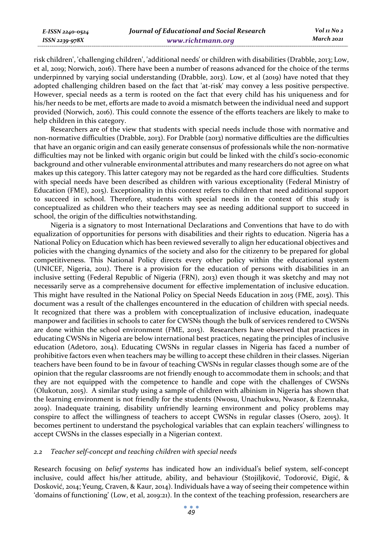*E-ISSN 2240-0524 ISSN 2239-978X*

risk children', 'challenging children', 'additional needs' or children with disabilities (Drabble, 2013; Low, et al, 2019; Norwich, 2016). There have been a number of reasons advanced for the choice of the terms underpinned by varying social understanding (Drabble, 2013). Low, et al (2019) have noted that they adopted challenging children based on the fact that 'at-risk' may convey a less positive perspective. However, special needs as a term is rooted on the fact that every child has his uniqueness and for his/her needs to be met, efforts are made to avoid a mismatch between the individual need and support provided (Norwich, 2016). This could connote the essence of the efforts teachers are likely to make to help children in this category.

Researchers are of the view that students with special needs include those with normative and non-normative difficulties (Drabble, 2013). For Drabble (2013) normative difficulties are the difficulties that have an organic origin and can easily generate consensus of professionals while the non-normative difficulties may not be linked with organic origin but could be linked with the child's socio-economic background and other vulnerable environmental attributes and many researchers do not agree on what makes up this category. This latter category may not be regarded as the hard core difficulties. Students with special needs have been described as children with various exceptionality (Federal Ministry of Education (FME), 2015). Exceptionality in this context refers to children that need additional support to succeed in school. Therefore, students with special needs in the context of this study is conceptualized as children who their teachers may see as needing additional support to succeed in school, the origin of the difficulties notwithstanding.

Nigeria is a signatory to most International Declarations and Conventions that have to do with equalization of opportunities for persons with disabilities and their rights to education. Nigeria has a National Policy on Education which has been reviewed severally to align her educational objectives and policies with the changing dynamics of the society and also for the citizenry to be prepared for global competitiveness. This National Policy directs every other policy within the educational system (UNICEF, Nigeria, 2011). There is a provision for the education of persons with disabilities in an inclusive setting (Federal Republic of Nigeria (FRN), 2013) even though it was sketchy and may not necessarily serve as a comprehensive document for effective implementation of inclusive education. This might have resulted in the National Policy on Special Needs Education in 2015 (FME, 2015). This document was a result of the challenges encountered in the education of children with special needs. It recognized that there was a problem with conceptualization of inclusive education, inadequate manpower and facilities in schools to cater for CWSNs though the bulk of services rendered to CWSNs are done within the school environment (FME, 2015). Researchers have observed that practices in educating CWSNs in Nigeria are below international best practices, negating the principles of inclusive education (Adetoro, 2014). Educating CWSNs in regular classes in Nigeria has faced a number of prohibitive factors even when teachers may be willing to accept these children in their classes. Nigerian teachers have been found to be in favour of teaching CWSNs in regular classes though some are of the opinion that the regular classrooms are not friendly enough to accommodate them in schools; and that they are not equipped with the competence to handle and cope with the challenges of CWSNs (Olukotun, 2015). A similar study using a sample of children with albinism in Nigeria has shown that the learning environment is not friendly for the students (Nwosu, Unachukwu, Nwasor, & Ezennaka, 2019). Inadequate training, disability unfriendly learning environment and policy problems may conspire to affect the willingness of teachers to accept CWSNs in regular classes (Osero, 2015). It becomes pertinent to understand the psychological variables that can explain teachers' willingness to accept CWSNs in the classes especially in a Nigerian context.

#### *2.2 Teacher self-concept and teaching children with special needs*

Research focusing on *belief systems* has indicated how an individual's belief system, self-concept inclusive, could affect his/her attitude, ability, and behaviour (Stojiljković, Todorović, Đigić, & Dosković, 2014; Yeung, Craven, & Kaur, 2014). Individuals have a way of seeing their competence within 'domains of functioning' (Low, et al, 2019:21). In the context of the teaching profession, researchers are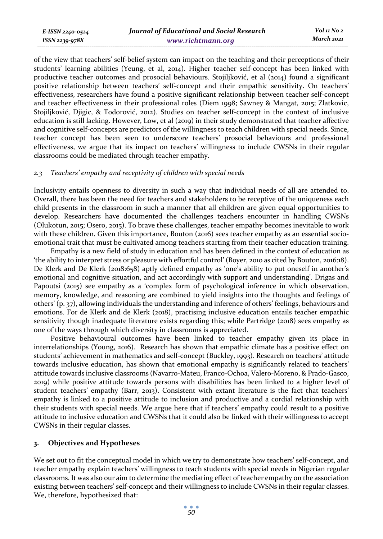of the view that teachers' self-belief system can impact on the teaching and their perceptions of their students' learning abilities (Yeung, et al, 2014). Higher teacher self-concept has been linked with productive teacher outcomes and prosocial behaviours. Stojiljković, et al (2014) found a significant positive relationship between teachers' self-concept and their empathic sensitivity. On teachers' effectiveness, researchers have found a positive significant relationship between teacher self-concept and teacher effectiveness in their professional roles (Diem 1998; Sawney & Mangat, 2015; Zlatkovic, Stojiljković, Djigic, & Todorović, 2012). Studies on teacher self-concept in the context of inclusive education is still lacking. However, Low, et al (2019) in their study demonstrated that teacher affective and cognitive self-concepts are predictors of the willingness to teach children with special needs. Since, teacher concept has been seen to underscore teachers' prosocial behaviours and professional effectiveness, we argue that its impact on teachers' willingness to include CWSNs in their regular classrooms could be mediated through teacher empathy.

### *2.3 Teachers' empathy and receptivity of children with special needs*

Inclusivity entails openness to diversity in such a way that individual needs of all are attended to. Overall, there has been the need for teachers and stakeholders to be receptive of the uniqueness each child presents in the classroom in such a manner that all children are given equal opportunities to develop. Researchers have documented the challenges teachers encounter in handling CWSNs (Olukotun, 2015; Osero, 2015). To brave these challenges, teacher empathy becomes inevitable to work with these children. Given this importance, Bouton (2016) sees teacher empathy as an essential socioemotional trait that must be cultivated among teachers starting from their teacher education training.

Empathy is a new field of study in education and has been defined in the context of education as 'the ability to interpret stress or pleasure with effortful control' (Boyer, 2010 as cited by Bouton, 2016:18). De Klerk and De Klerk (2018:658) aptly defined empathy as 'one's ability to put oneself in another's emotional and cognitive situation, and act accordingly with support and understanding'. Drigas and Papoutsi (2015) see empathy as a 'complex form of psychological inference in which observation, memory, knowledge, and reasoning are combined to yield insights into the thoughts and feelings of others' (p. 37), allowing individuals the understanding and inference of others' feelings, behaviours and emotions. For de Klerk and de Klerk (2018), practising inclusive education entails teacher empathic sensitivity though inadequate literature exists regarding this; while Partridge (2018) sees empathy as one of the ways through which diversity in classrooms is appreciated.

Positive behavioural outcomes have been linked to teacher empathy given its place in interrelationships (Young, 2016). Research has shown that empathic climate has a positive effect on students' achievement in mathematics and self-concept (Buckley, 1993). Research on teachers' attitude towards inclusive education, has shown that emotional empathy is significantly related to teachers' attitude towards inclusive classrooms (Navarro-Mateu, Franco-Ochoa, Valero-Moreno, & Prado-Gasco, 2019) while positive attitude towards persons with disabilities has been linked to a higher level of student teachers' empathy (Barr, 2013). Consistent with extant literature is the fact that teachers' empathy is linked to a positive attitude to inclusion and productive and a cordial relationship with their students with special needs. We argue here that if teachers' empathy could result to a positive attitude to inclusive education and CWSNs that it could also be linked with their willingness to accept CWSNs in their regular classes.

### **3. Objectives and Hypotheses**

We set out to fit the conceptual model in which we try to demonstrate how teachers' self-concept, and teacher empathy explain teachers' willingness to teach students with special needs in Nigerian regular classrooms. It was also our aim to determine the mediating effect of teacher empathy on the association existing between teachers' self-concept and their willingness to include CWSNs in their regular classes. We, therefore, hypothesized that: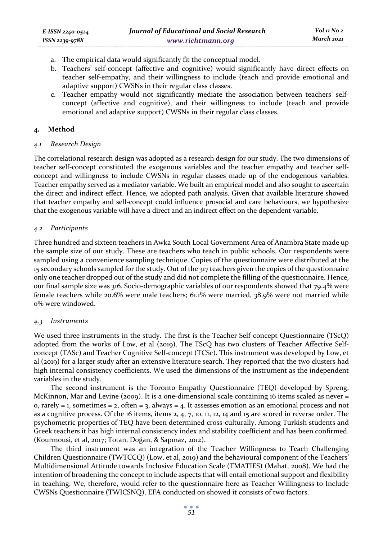- a. The empirical data would significantly fit the conceptual model.
- b. Teachers' self-concept (affective and cognitive) would significantly have direct effects on teacher self-empathy, and their willingness to include (teach and provide emotional and adaptive support) CWSNs in their regular class classes.
- c. Teacher empathy would not significantly mediate the association between teachers' selfconcept (affective and cognitive), and their willingness to include (teach and provide emotional and adaptive support) CWSNs in their regular class classes.

### **4. Method**

#### *4.1 Research Design*

The correlational research design was adopted as a research design for our study. The two dimensions of teacher self-concept constituted the exogenous variables and the teacher empathy and teacher selfconcept and willingness to include CWSNs in regular classes made up of the endogenous variables. Teacher empathy served as a mediator variable. We built an empirical model and also sought to ascertain the direct and indirect effect. Hence, we adopted path analysis. Given that available literature showed that teacher empathy and self-concept could influence prosocial and care behaviours, we hypothesize that the exogenous variable will have a direct and an indirect effect on the dependent variable.

#### *4.2 Participants*

Three hundred and sixteen teachers in Awka South Local Government Area of Anambra State made up the sample size of our study. These are teachers who teach in public schools. Our respondents were sampled using a convenience sampling technique. Copies of the questionnaire were distributed at the 15 secondary schools sampled for the study. Out of the 317 teachers given the copies of the questionnaire only one teacher dropped out of the study and did not complete the filling of the questionnaire. Hence, our final sample size was 316. Socio-demographic variables of our respondents showed that 79.4% were female teachers while 20.6% were male teachers; 61.1% were married, 38.9% were not married while 0% were windowed.

### *4.3 Instruments*

We used three instruments in the study. The first is the Teacher Self-concept Questionnaire (TScQ) adopted from the works of Low, et al (2019). The TScQ has two clusters of Teacher Affective Selfconcept (TASc) and Teacher Cognitive Self-concept (TCSc). This instrument was developed by Low, et al (2019) for a larger study after an extensive literature search. They reported that the two clusters had high internal consistency coefficients. We used the dimensions of the instrument as the independent variables in the study.

The second instrument is the Toronto Empathy Questionnaire (TEQ) developed by Spreng, McKinnon, Mar and Levine (2009). It is a one-dimensional scale containing 16 items scaled as never = o, rarely = 1, sometimes = 2, often = 3, always = 4. It assesses emotion as an emotional process and not as a cognitive process. Of the 16 items, items 2, 4, 7, 10, 11, 12, 14 and 15 are scored in reverse order. The psychometric properties of TEQ have been determined cross-culturally. Among Turkish students and Greek teachers it has high internal consistency index and stability coefficient and has been confirmed. (Kourmousi, et al, 2017; Totan, Doğan, & Sapmaz, 2012).

The third instrument was an integration of the Teacher Willingness to Teach Challenging Children Questionnaire (TWTCCQ) (Low, et al, 2019) and the behavioural component of the Teachers' Multidimensional Attitude towards Inclusive Education Scale (TMATIES) (Mahat, 2008). We had the intention of broadening the concept to include aspects that will entail emotional support and flexibility in teaching. We, therefore, would refer to the questionnaire here as Teacher Willingness to Include CWSNs Questionnaire (TWICSNQ). EFA conducted on showed it consists of two factors.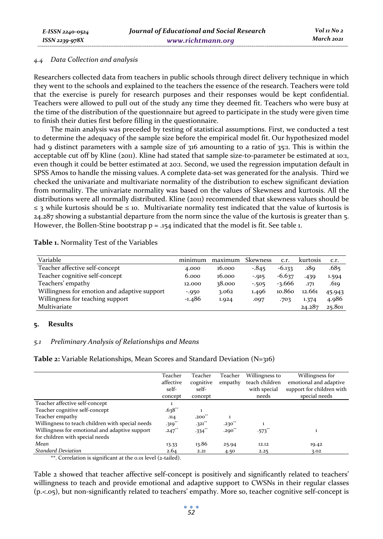#### *4.4 Data Collection and analysis*

Researchers collected data from teachers in public schools through direct delivery technique in which they went to the schools and explained to the teachers the essence of the research. Teachers were told that the exercise is purely for research purposes and their responses would be kept confidential. Teachers were allowed to pull out of the study any time they deemed fit. Teachers who were busy at the time of the distribution of the questionnaire but agreed to participate in the study were given time to finish their duties first before filling in the questionnaire.

The main analysis was preceded by testing of statistical assumptions. First, we conducted a test to determine the adequacy of the sample size before the empirical model fit. Our hypothesized model had 9 distinct parameters with a sample size of 316 amounting to a ratio of 35:1. This is within the acceptable cut off by Kline (2011). Kline had stated that sample size-to-parameter be estimated at 10:1, even though it could be better estimated at 20:1. Second, we used the regression imputation default in SPSS Amos to handle the missing values. A complete data-set was generated for the analysis. Third we checked the univariate and multivariate normality of the distribution to eschew significant deviation from normality. The univariate normality was based on the values of Skewness and kurtosis. All the distributions were all normally distributed. Kline (2011) recommended that skewness values should be  $\leq$  3 while kurtosis should be  $\leq$  10. Multivariate normality test indicated that the value of kurtosis is 24.287 showing a substantial departure from the norm since the value of the kurtosis is greater than 5. However, the Bollen-Stine bootstrap  $p = .154$  indicated that the model is fit. See table 1.

**Table 1.** Normality Test of the Variables

| Variable                                     | minimum  | maximum | <b>Skewness</b> | C.T.     | kurtosis | C.T.   |
|----------------------------------------------|----------|---------|-----------------|----------|----------|--------|
| Teacher affective self-concept               | 4.000    | 16.000  | $-845$          | $-6.133$ | .189     | .685   |
| Teacher cognitive self-concept               | 6.000    | 16.000  | $-0.915$        | $-6.637$ | .439     | 1.594  |
| Teachers' empathy                            | 12.000   | 38.000  | $-505$          | -3.666   | .171     | .619.  |
| Willingness for emotion and adaptive support | $-0.950$ | 3.062   | 1.496           | 10.860   | 12.661   | 45.943 |
| Willingness for teaching support             | -1.486   | 1.924   | .097            | .703     | 1.374    | 4.986  |
| Multivariate                                 |          |         |                 |          | 24.287   | 25.801 |

#### **5. Results**

#### *5.1 Preliminary Analysis of Relationships and Means*

**Table 2:** Variable Relationships, Mean Scores and Standard Deviation (N=316)

|                                                  | Teacher<br>affective<br>self-<br>concept | Teacher<br>cognitive<br>self-<br>concept | Teacher<br>empathy | Willingness to<br>teach children<br>with special<br>needs | Willingness for<br>emotional and adaptive<br>support for children with<br>special needs |
|--------------------------------------------------|------------------------------------------|------------------------------------------|--------------------|-----------------------------------------------------------|-----------------------------------------------------------------------------------------|
| Teacher affective self-concept                   | 1                                        |                                          |                    |                                                           |                                                                                         |
| Teacher cognitive self-concept                   | $.638**$                                 | 1                                        |                    |                                                           |                                                                                         |
| Teacher empathy                                  | .114                                     | $.200^{**}$                              |                    |                                                           |                                                                                         |
| Willingness to teach children with special needs | $.319$ <sup>**</sup>                     | $.321$ **                                | $.230^{10}$        |                                                           |                                                                                         |
| Willingness for emotional and adaptive support   | $.247$ <sup>**</sup>                     | $-334$ **                                | $.290^{**}$        | $.573$ <sup>*</sup>                                       |                                                                                         |
| for children with special needs                  |                                          |                                          |                    |                                                           |                                                                                         |
| Mean                                             | 13.33                                    | 13.86                                    | 25.94              | 12.12                                                     | 19.42                                                                                   |
| <b>Standard Deviation</b>                        | 2.64                                     | 2.21                                     | 4.50               | 2.25                                                      | 3.02                                                                                    |

\*\*. Correlation is significant at the 0.01 level (2-tailed).

Table 2 showed that teacher affective self-concept is positively and significantly related to teachers' willingness to teach and provide emotional and adaptive support to CWSNs in their regular classes (p.<.05), but non-significantly related to teachers' empathy. More so, teacher cognitive self-concept is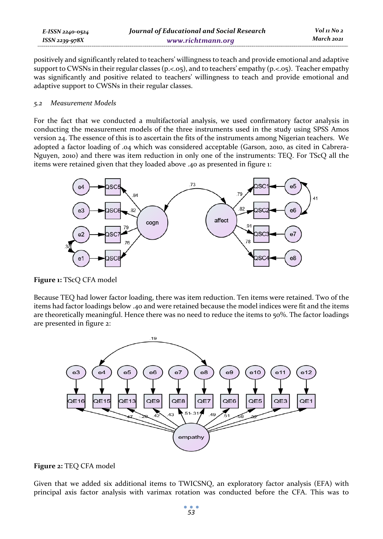| E-ISSN 2240-0524    | Journal of Educational and Social Research | Vol 11 No 2 |
|---------------------|--------------------------------------------|-------------|
| $ISSN$ 2239-97 $8X$ | www.richtmann.org                          | March 2021  |

positively and significantly related to teachers' willingness to teach and provide emotional and adaptive support to CWSNs in their regular classes (p.<.05), and to teachers' empathy (p.<.05). Teacher empathy was significantly and positive related to teachers' willingness to teach and provide emotional and adaptive support to CWSNs in their regular classes.

#### *5.2 Measurement Models*

For the fact that we conducted a multifactorial analysis, we used confirmatory factor analysis in conducting the measurement models of the three instruments used in the study using SPSS Amos version 24. The essence of this is to ascertain the fits of the instruments among Nigerian teachers. We adopted a factor loading of .04 which was considered acceptable (Garson, 2010, as cited in Cabrera-Nguyen, 2010) and there was item reduction in only one of the instruments: TEQ. For TScQ all the items were retained given that they loaded above .40 as presented in figure 1:



**Figure 1:** TScQ CFA model

Because TEQ had lower factor loading, there was item reduction. Ten items were retained. Two of the items had factor loadings below .40 and were retained because the model indices were fit and the items are theoretically meaningful. Hence there was no need to reduce the items to 50%. The factor loadings are presented in figure 2:



**Figure 2:** TEQ CFA model

Given that we added six additional items to TWICSNQ, an exploratory factor analysis (EFA) with principal axis factor analysis with varimax rotation was conducted before the CFA. This was to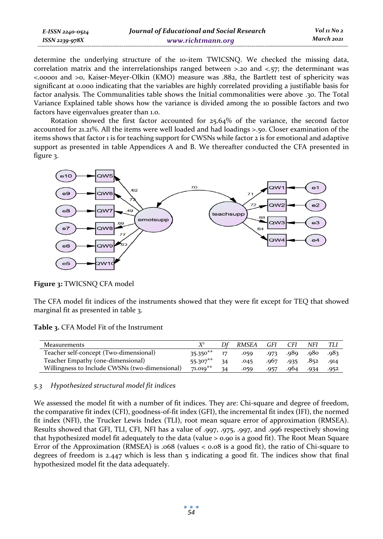| E-ISSN 2240-0524 | Journal of Educational and Social Research | Vol 11 No 2 |
|------------------|--------------------------------------------|-------------|
| ISSN 2239-978X   | www.richtmann.org                          | March 2021  |

determine the underlying structure of the 10-item TWICSNQ. We checked the missing data, correlation matrix and the interrelationships ranged between  $>$ .20 and  $<$ .57; the determinant was <.00001 and >0, Kaiser-Meyer-Olkin (KMO) measure was .882, the Bartlett test of sphericity was significant at 0.000 indicating that the variables are highly correlated providing a justifiable basis for factor analysis. The Communalities table shows the Initial commonalities were above .30. The Total Variance Explained table shows how the variance is divided among the 10 possible factors and two factors have eigenvalues greater than 1.0.

Rotation showed the first factor accounted for 25.64% of the variance, the second factor accounted for 21.21%. All the items were well loaded and had loadings >.50. Closer examination of the items shows that factor 1 is for teaching support for CWSNs while factor 2 is for emotional and adaptive support as presented in table Appendices A and B. We thereafter conducted the CFA presented in figure 3.



**Figure 3:** TWICSNQ CFA model

The CFA model fit indices of the instruments showed that they were fit except for TEQ that showed marginal fit as presented in table 3.

**Table 3.** CFA Model Fit of the Instrument

| Measurements                                   |            |    | RMSEA | GFI  | <b>CFI</b> | NFI  |       |
|------------------------------------------------|------------|----|-------|------|------------|------|-------|
| Teacher self-concept (Two-dimensional)         | $35.350**$ | 17 | .059  | .973 | .989. 089. |      | -983. |
| Teacher Empathy (one-dimensional)              | 55.307**   | 34 | .045  | .967 | $-935$     | .852 | .914  |
| Willingness to Include CWSNs (two-dimensional) | $71.019**$ |    | .059  | .957 | .964       | .934 | .952  |

### *5.3 Hypothesized structural model fit indices*

We assessed the model fit with a number of fit indices. They are: Chi-square and degree of freedom, the comparative fit index (CFI), goodness-of-fit index (GFI), the incremental fit index (IFI), the normed fit index (NFI), the Trucker Lewis Index (TLI), root mean square error of approximation (RMSEA). Results showed that GFI, TLI, CFI, NFI has a value of .997, .975, .997, and .996 respectively showing that hypothesized model fit adequately to the data (value > 0.90 is a good fit). The Root Mean Square Error of the Approximation (RMSEA) is .068 (values < 0.08 is a good fit), the ratio of Chi-square to degrees of freedom is  $2.447$  which is less than  $5$  indicating a good fit. The indices show that final hypothesized model fit the data adequately.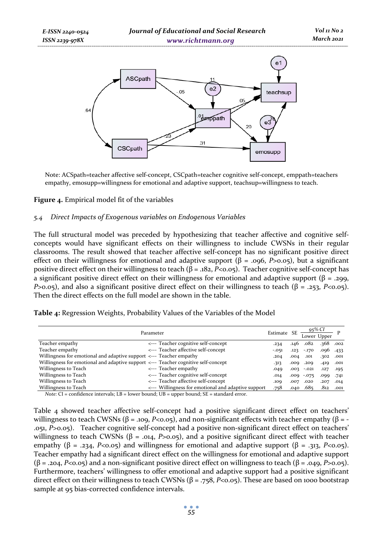

**Figure 4.** Empirical model fit of the variables

Note: ACSpath=teacher affective self-concept, CSCpath=teacher cognitive self-concept, emppath=teachers empathy, emosupp=willingness for emotional and adaptive support, teachsup=willingness to teach.

 $.31$ 

emosupp

#### *5.4 Direct Impacts of Exogenous variables on Endogenous Variables*

CSCpath

The full structural model was preceded by hypothesizing that teacher affective and cognitive selfconcepts would have significant effects on their willingness to include CWSNs in their regular classrooms. The result showed that teacher affective self-concept has no significant positive direct effect on their willingness for emotional and adaptive support (β = .096, *P*>0.05), but a significant positive direct effect on their willingness to teach (β = .182, *P*<0.05). Teacher cognitive self-concept has a significant positive direct effect on their willingness for emotional and adaptive support ( $\beta$  = .299, *P*>0.05), and also a significant positive direct effect on their willingness to teach ( $\beta$  = .253, *P*<0.05). Then the direct effects on the full model are shown in the table.

|  |  |  | <b>Table 4:</b> Regression Weights, Probability Values of the Variables of the Model |
|--|--|--|--------------------------------------------------------------------------------------|
|--|--|--|--------------------------------------------------------------------------------------|

|                                                                                    | Parameter                                           | Estimate SE |      | 95% CI<br>Lower Upper |               |               |
|------------------------------------------------------------------------------------|-----------------------------------------------------|-------------|------|-----------------------|---------------|---------------|
| Teacher empathy                                                                    | <--- Teacher cognitive self-concept                 | .234        | .146 | .082                  | .368          | .002          |
| Teacher empathy                                                                    | <--- Teacher affective self-concept                 | $-.051$     | .123 | $-.170$               | $.096$ $.433$ |               |
| Willingness for emotional and adaptive support <--- Teacher empathy                |                                                     | .204        | .004 | .101                  | .302          | .001          |
| Willingness for emotional and adaptive support <--- Teacher cognitive self-concept |                                                     | .313        | ,009 | .209                  | .419          | .001          |
| Willingness to Teach                                                               | <--- Teacher empathy                                | .049        | .003 | $-.021$               | .127          | .195          |
| Willingness to Teach                                                               | <--- Teacher cognitive self-concept                 | .014        |      | $.009 - .075$         | .099          | .741          |
| Willingness to Teach                                                               | <--- Teacher affective self-concept                 | .109        | .007 | .020                  | .207          | .014          |
| Willingness to Teach                                                               | <--- Willingness for emotional and adaptive support | .758        |      | $.040$ . 685          |               | $.812$ $.001$ |

*Note:* CI = confidence intervals; LB = lower bound; UB = upper bound; SE = standard error.

Table 4 showed teacher affective self-concept had a positive significant direct effect on teachers' willingness to teach CWSNs ( $β = .109$ ,  $P < 0.05$ ), and non-significant effects with teacher empathy ( $β = -100$ .051, *P*>0.05). Teacher cognitive self-concept had a positive non-significant direct effect on teachers' willingness to teach CWSNs ( $β = .014$ ,  $P>0.05$ ), and a positive significant direct effect with teacher empathy (β = .234, *P*<0.05) and willingness for emotional and adaptive support (β = .313, *P*<0.05). Teacher empathy had a significant direct effect on the willingness for emotional and adaptive support  $(\beta = .204, P < 0.05)$  and a non-significant positive direct effect on willingness to teach  $(\beta = .049, P > 0.05)$ . Furthermore, teachers' willingness to offer emotional and adaptive support had a positive significant direct effect on their willingness to teach CWSNs (β = .758, *P*<0.05). These are based on 1000 bootstrap sample at 95 bias-corrected confidence intervals.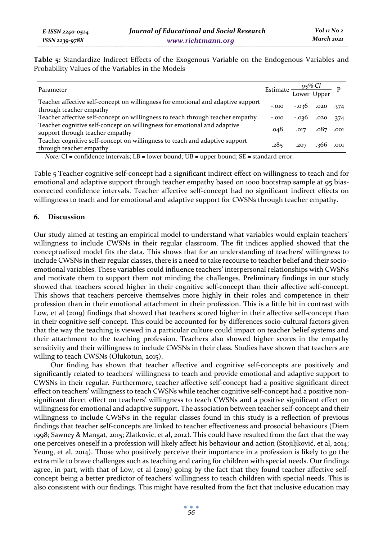**Table 5:** Standardize Indirect Effects of the Exogenous Variable on the Endogenous Variables and Probability Values of the Variables in the Models

| Parameter                                                                                                   | Estimate $\frac{95\% \, CI}{\text{Lower Upper}}$ |                          |  |
|-------------------------------------------------------------------------------------------------------------|--------------------------------------------------|--------------------------|--|
| Teacher affective self-concept on willingness for emotional and adaptive support<br>through teacher empathy | $-.010$                                          | $-0.036$ .020 .374       |  |
| Teacher affective self-concept on willingness to teach through teacher empathy                              | $-.010$                                          | $-0.036$ $0.020$ $0.774$ |  |
| Teacher cognitive self-concept on willingness for emotional and adaptive<br>support through teacher empathy | .048                                             | $.017$ $.087$ $.001$     |  |
| Teacher cognitive self-concept on willingness to teach and adaptive support<br>through teacher empathy      | .285                                             | $.207$ $.366$ $.001$     |  |

*Note:* CI = confidence intervals; LB = lower bound; UB = upper bound; SE = standard error.

Table 5 Teacher cognitive self-concept had a significant indirect effect on willingness to teach and for emotional and adaptive support through teacher empathy based on 1000 bootstrap sample at 95 biascorrected confidence intervals. Teacher affective self-concept had no significant indirect effects on willingness to teach and for emotional and adaptive support for CWSNs through teacher empathy.

#### **6. Discussion**

Our study aimed at testing an empirical model to understand what variables would explain teachers' willingness to include CWSNs in their regular classroom. The fit indices applied showed that the conceptualized model fits the data. This shows that for an understanding of teachers' willingness to include CWSNs in their regular classes, there is a need to take recourse to teacher belief and their socioemotional variables. These variables could influence teachers' interpersonal relationships with CWSNs and motivate them to support them not minding the challenges. Preliminary findings in our study showed that teachers scored higher in their cognitive self-concept than their affective self-concept. This shows that teachers perceive themselves more highly in their roles and competence in their profession than in their emotional attachment in their profession. This is a little bit in contrast with Low, et al (2019) findings that showed that teachers scored higher in their affective self-concept than in their cognitive self-concept. This could be accounted for by differences socio-cultural factors given that the way the teaching is viewed in a particular culture could impact on teacher belief systems and their attachment to the teaching profession. Teachers also showed higher scores in the empathy sensitivity and their willingness to include CWSNs in their class. Studies have shown that teachers are willing to teach CWSNs (Olukotun, 2015).

Our finding has shown that teacher affective and cognitive self-concepts are positively and significantly related to teachers' willingness to teach and provide emotional and adaptive support to CWSNs in their regular. Furthermore, teacher affective self-concept had a positive significant direct effect on teachers' willingness to teach CWSNs while teacher cognitive self-concept had a positive nonsignificant direct effect on teachers' willingness to teach CWSNs and a positive significant effect on willingness for emotional and adaptive support. The association between teacher self-concept and their willingness to include CWSNs in the regular classes found in this study is a reflection of previous findings that teacher self-concepts are linked to teacher effectiveness and prosocial behaviours (Diem 1998; Sawney & Mangat, 2015; Zlatkovic, et al, 2012). This could have resulted from the fact that the way one perceives oneself in a profession will likely affect his behaviour and action (Stojiljković, et al, 2014; Yeung, et al, 2014). Those who positively perceive their importance in a profession is likely to go the extra mile to brave challenges such as teaching and caring for children with special needs. Our findings agree, in part, with that of Low, et al (2019) going by the fact that they found teacher affective selfconcept being a better predictor of teachers' willingness to teach children with special needs. This is also consistent with our findings. This might have resulted from the fact that inclusive education may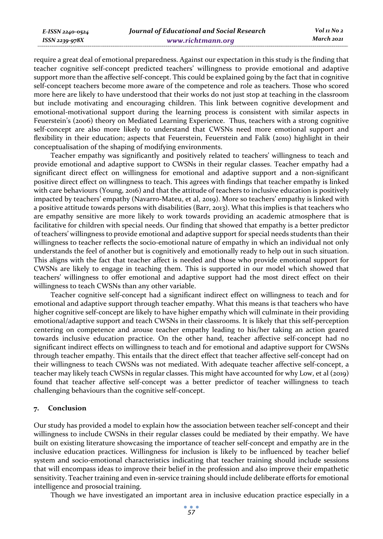require a great deal of emotional preparedness. Against our expectation in this study is the finding that teacher cognitive self-concept predicted teachers' willingness to provide emotional and adaptive support more than the affective self-concept. This could be explained going by the fact that in cognitive self-concept teachers become more aware of the competence and role as teachers. Those who scored more here are likely to have understood that their works do not just stop at teaching in the classroom but include motivating and encouraging children. This link between cognitive development and emotional-motivational support during the learning process is consistent with similar aspects in Feuerstein's (2006) theory on Mediated Learning Experience. Thus, teachers with a strong cognitive self-concept are also more likely to understand that CWSNs need more emotional support and flexibility in their education; aspects that Feuerstein, Feuerstein and Falik (2010) highlight in their conceptualisation of the shaping of modifying environments.

Teacher empathy was significantly and positively related to teachers' willingness to teach and provide emotional and adaptive support to CWSNs in their regular classes. Teacher empathy had a significant direct effect on willingness for emotional and adaptive support and a non-significant positive direct effect on willingness to teach. This agrees with findings that teacher empathy is linked with care behaviours (Young, 2016) and that the attitude of teachers to inclusive education is positively impacted by teachers' empathy (Navarro-Mateu, et al, 2019). More so teachers' empathy is linked with a positive attitude towards persons with disabilities (Barr, 2013). What this implies is that teachers who are empathy sensitive are more likely to work towards providing an academic atmosphere that is facilitative for children with special needs. Our finding that showed that empathy is a better predictor of teachers' willingness to provide emotional and adaptive support for special needs students than their willingness to teacher reflects the socio-emotional nature of empathy in which an individual not only understands the feel of another but is cognitively and emotionally ready to help out in such situation. This aligns with the fact that teacher affect is needed and those who provide emotional support for CWSNs are likely to engage in teaching them. This is supported in our model which showed that teachers' willingness to offer emotional and adaptive support had the most direct effect on their willingness to teach CWSNs than any other variable.

Teacher cognitive self-concept had a significant indirect effect on willingness to teach and for emotional and adaptive support through teacher empathy. What this means is that teachers who have higher cognitive self-concept are likely to have higher empathy which will culminate in their providing emotional/adaptive support and teach CWSNs in their classrooms. It is likely that this self-perception centering on competence and arouse teacher empathy leading to his/her taking an action geared towards inclusive education practice. On the other hand, teacher affective self-concept had no significant indirect effects on willingness to teach and for emotional and adaptive support for CWSNs through teacher empathy. This entails that the direct effect that teacher affective self-concept had on their willingness to teach CWSNs was not mediated. With adequate teacher affective self-concept, a teacher may likely teach CWSNs in regular classes. This might have accounted for why Low, et al (2019) found that teacher affective self-concept was a better predictor of teacher willingness to teach challenging behaviours than the cognitive self-concept.

#### **7. Conclusion**

Our study has provided a model to explain how the association between teacher self-concept and their willingness to include CWSNs in their regular classes could be mediated by their empathy. We have built on existing literature showcasing the importance of teacher self-concept and empathy are in the inclusive education practices. Willingness for inclusion is likely to be influenced by teacher belief system and socio-emotional characteristics indicating that teacher training should include sessions that will encompass ideas to improve their belief in the profession and also improve their empathetic sensitivity. Teacher training and even in-service training should include deliberate efforts for emotional intelligence and prosocial training.

Though we have investigated an important area in inclusive education practice especially in a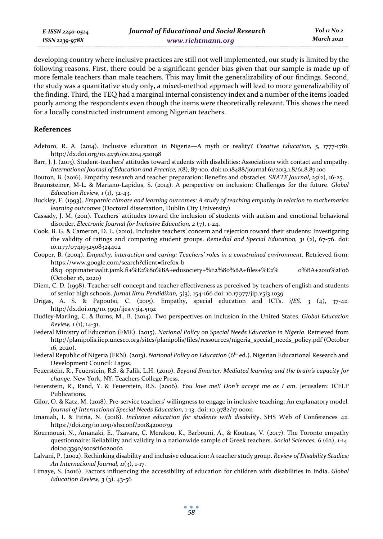*E-ISSN 2240-0524 ISSN 2239-978X*

developing country where inclusive practices are still not well implemented, our study is limited by the following reasons. First, there could be a significant gender bias given that our sample is made up of more female teachers than male teachers. This may limit the generalizability of our findings. Second, the study was a quantitative study only, a mixed-method approach will lead to more generalizability of the finding. Third, the TEQ had a marginal internal consistency index and a number of the items loaded poorly among the respondents even though the items were theoretically relevant. This shows the need for a locally constructed instrument among Nigerian teachers.

#### **References**

- Adetoro, R. A. (2014). Inclusive education in Nigeria—A myth or reality? *Creative Education, 5,* 1777-1781. http://dx.doi.org/10.4236/ce.2014.520198
- Barr, J. J. (2013). Student-teachers' attitudes toward students with disabilities: Associations with contact and empathy. *International Journal of Education and Practice, 1*(8), 87-100. doi: 10.18488/journal.61/2013.1.8/61.8.87.100
- Bouton, B. (2016). Empathy research and teacher preparation: Benefits and obstacles. *SRATE Journal, 25*(2), 16-25.
- Braunsteiner, M-L. & Mariano-Lapidus, S. (2014). A perspective on inclusion: Challenges for the future. *Global Education Review, 1* (1), 32-43.
- Buckley, F. (1993). *Empathic climate and learning outcomes: A study of teaching empathy in relation to mathematics learning outcomes* (Doctoral dissertation, Dublin City University)
- Cassady, J. M. (2011). Teachers' attitudes toward the inclusion of students with autism and emotional behavioral disorder. *Electronic Journal for Inclusive Education, 2* (7), 1-24.
- Cook, B. G. & Cameron, D. L. (2010). Inclusive teachers' concern and rejection toward their students: Investigating the validity of ratings and comparing student groups. *Remedial and Special Education, 31* (2), 67-76. doi: 10.1177/0741932508324402
- Cooper, B. (2004). *Empathy, interaction and caring: Teachers' roles in a constrained environment*. Retrieved from: https://www.google.com/search?client=firefox-b d&q=oppimateriaalit.jamk.fi+%E2%80%BA+edusociety+%E2%80%BA+files+%E2% 0%BA+2010%2F06 (October 16, 2020)
- Diem, C. D. (1998). Teacher self-concept and teacher effectiveness as perceived by teachers of english and students of senior high schools. *Jurnal Ilmu Pendidikan,* 5(3), 154-166 doi: 10.17977/jip.v5i3.1039
- Drigas, A. S. & Papoutsi, C. (2015). Empathy, special education and ICTs. *iJES, 3* (4), 37-42. http://dx.doi.org/10.3991/ijes.v3i4.5192
- Dudley-Marling, C. & Burns, M., B. (2014). Two perspectives on inclusion in the United States. *Global Education Review, 1* (1), 14-31.
- Federal Ministry of Education (FME). (2015). *National Policy on Special Needs Education in Nigeria*. Retrieved from http://planipolis.iiep.unesco.org/sites/planipolis/files/ressources/nigeria\_special\_needs\_policy.pdf (October 16, 2020).
- Federal Republic of Nigeria (FRN). (2013). *National Policy on Education* (6th ed.). Nigerian Educational Research and Development Council: Lagos.
- Feuerstein, R., Feuerstein, R.S. & Falik, L.H. (2010). *Beyond Smarter: Mediated learning and the brain's capacity for change*. New York, NY: Teachers College Press.
- Feuerstein, R., Rand, Y. & Feuerstein, R.S. (2006). *You love me!! Don't accept me as I am*. Jerusalem: ICELP Publications.
- Gilor, O. & Katz, M. (2018). Pre-service teachers' willingness to engage in inclusive teaching: An explanatory model. *Journal of International Special Needs Education,* 1-13. doi: 10.9782/17 00011
- Imaniah, I. & Fitria, N. (2018). *Inclusive education for students with disability*. SHS Web of Conferences 42. https://doi.org/10.1051/shsconf/20184200039
- Kourmousi, N., Amanaki, E., Tzavara, C. Merakou, K., Barbouni, A., & Koutras, V. (2017). The Toronto empathy questionnaire: Reliability and validity in a nationwide sample of Greek teachers. *Social Sciences, 6* (62), 1-14. doi:10.3390/socsci6020062
- Lalvani, P. (2002). Rethinking disability and inclusive education: A teacher study group. *Review of Disability Studies: An International Journal, 11*(3), 1-17.
- Limaye, S. (2016). Factors influencing the accessibility of education for children with disabilities in India. *Global Education Review, 3* (3). 43-56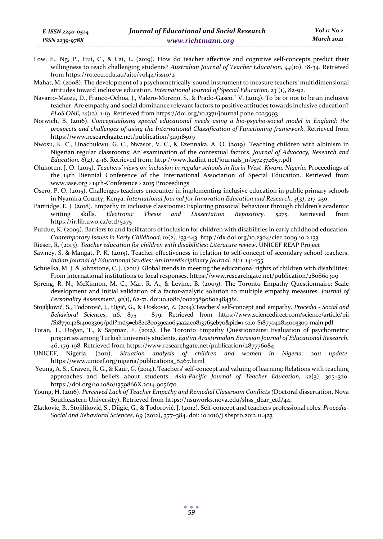Low, E., Ng, P., Hui, C., & Cai, L. (2019). How do teacher affective and cognitive self-concepts predict their willingness to teach challenging students? *Australian Journal of Teacher Education, 44*(10), 18-34. Retrieved from https://ro.ecu.edu.au/ajte/vol44/iss10/2

Mahat, M. (2008). The development of a psychometrically-sound instrument to measure teachers' multidimensional attitudes toward inclusive education. *International Journal of Special Education, 23* (1), 82-92.

Navarro-Mateu, D., Franco-Ochoa, J., Valero-Moreno, S., & Prado-Gasco,´ V. (2019). To be or not to be an inclusive teacher: Are empathy and social dominance relevant factors to positive attitudes towards inclusive education? *PLoS ONE, 14*(12), 1-19. Retrieved from https://doi.org/10.1371/journal.pone.0225993

- Norwich, B. (2016). *Conceptualising special educational needs using a bio-psycho-social model in England: the prospects and challenges of using the International Classification of Functioning framework*. Retrieved from https://www.researchgate.net/publication/311918509
- Nwosu, K. C., Unachukwu, G. C., Nwasor, V. C., & Ezennaka, A. O. (2019). Teaching children with albinism in Nigerian regular classrooms: An examination of the contextual factors. *Journal of Advocacy, Research and Education, 6*(2), 4-16. Retrieved from: http://www.kadint.net/journals\_n/1572372657.pdf
- Olukotun, J. O. (2015). *Teachers' views on inclusion in regular schools in Ilorin West, Kwara, Nigeria.* Proceedings of the 14th Biennial Conference of the International Association of Special Education. Retrieved from www.iase.org › 14th-Conference › 2015 Proceedings
- Osero, P. O. (2015). Challenges teachers encounter in implementing inclusive education in public primary schools in Nyamira County, Kenya. *International Journal for Innovation Education and Research, 3*(3), 217-230.
- Partridge, E. J. (2018). Empathy in inclusive classrooms: Exploring prosocial behaviour through children's academic writing skills. *Electronic Thesis and Dissertation Repository. 5275*. Retrieved from https://ir.lib.uwo.ca/etd/5275
- Purdue, K. (2009). Barriers to and facilitators of inclusion for children with disabilities in early childhood education. *Contemporary Issues in Early Childhood, 10*(*2),* 133-143. http://dx.doi.org/10.2304/ciec.2009.10.2.133
- Rieser, R. (2013). *Teacher education for children with disabilities: Literature review*. UNICEF REAP Project
- Sawney, S. & Mangat, P. K. (2015). Teacher effectiveness in relation to self-concept of secondary school teachers. *Indian Journal of Educational Studies: An Interdisciplinary Journal, 2*(1), 141-155.
- Schuelka, M. J. & Johnstone, C. J. (2011). Global trends in meeting the educational rights of children with disabilities: From international institutions to local responses. https://www.researchgate.net/publication/280860309
- Spreng, R. N., McKinnon, M. C., Mar, R. A., & Levine, B. (2009). The Toronto Empathy Questionnaire: Scale development and initial validation of a factor-analytic solution to multiple empathy measures. *Journal of Personality Assessment*, *91*(1), 62-71. doi:10.1080/00223890802484381.
- Stojiljković, S., Todorović, J., Đigić, G., & Dosković, Z. (2014).Teachers' self-concept and empathy. *Procedia Social and Behavioral Sciences*, 116, 875 – 879. Retrieved from https://www.sciencedirect.com/science/article/pii /S1877042814003309/pdf?md5=eb82c80039ea065aa2ae0813765eb70&pid=1-s2.0-S1877042814003309-main.pdf
- Totan, T., Doğan, T., & Sapmaz, F. (2012). The Toronto Empathy Questionnaire: Evaluation of psychometric properties among Turkish university students. *Egitim Arastirmaları Eurasian Journal of Educational Research*, 46, 179-198. Retrieved from https://www.researchgate.net/publication/287776084
- UNICEF, Nigeria. (2011). *Situation analysis of children and women in Nigeria: 2011 update*. https://www.unicef.org/nigeria/publications\_8467.html
- Yeung, A. S., Craven, R. G., & Kaur, G. (2014). Teachers' self-concept and valuing of learning: Relations with teaching approaches and beliefs about students. *Asia-Pacific Journal of Teacher Education, 42*(3), 305–320. https://doi.org/10.1080/1359866X.2014.905670
- Young, H. (2016). *Perceived Lack of Teacher Empathy and Remedial Classroom Conflicts (*Doctoral dissertation, Nova Southeastern University). Retrieved from https://nsuworks.nova.edu/shss\_dcar\_etd/44.
- Zlatkovic, B., Stojiljković, S., Djigic, G., & Todorović, J. (2012). Self-concept and teachers professional roles. *Procedia-Social and Behavioral Sciences, 69* (2012), 377–384. doi: 10.1016/j.sbspro.2012.11.423